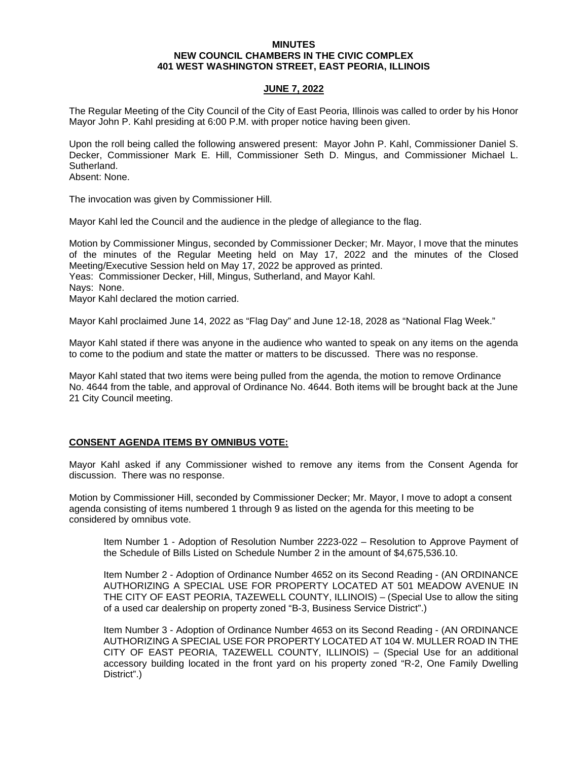### **MINUTES NEW COUNCIL CHAMBERS IN THE CIVIC COMPLEX 401 WEST WASHINGTON STREET, EAST PEORIA, ILLINOIS**

## **JUNE 7, 2022**

The Regular Meeting of the City Council of the City of East Peoria, Illinois was called to order by his Honor Mayor John P. Kahl presiding at 6:00 P.M. with proper notice having been given.

Upon the roll being called the following answered present: Mayor John P. Kahl, Commissioner Daniel S. Decker, Commissioner Mark E. Hill, Commissioner Seth D. Mingus, and Commissioner Michael L. Sutherland.

Absent: None.

The invocation was given by Commissioner Hill.

Mayor Kahl led the Council and the audience in the pledge of allegiance to the flag.

Motion by Commissioner Mingus, seconded by Commissioner Decker; Mr. Mayor, I move that the minutes of the minutes of the Regular Meeting held on May 17, 2022 and the minutes of the Closed Meeting/Executive Session held on May 17, 2022 be approved as printed.

Yeas: Commissioner Decker, Hill, Mingus, Sutherland, and Mayor Kahl.

Nays: None.

Mayor Kahl declared the motion carried.

Mayor Kahl proclaimed June 14, 2022 as "Flag Day" and June 12-18, 2028 as "National Flag Week."

Mayor Kahl stated if there was anyone in the audience who wanted to speak on any items on the agenda to come to the podium and state the matter or matters to be discussed. There was no response.

Mayor Kahl stated that two items were being pulled from the agenda, the motion to remove Ordinance No. 4644 from the table, and approval of Ordinance No. 4644. Both items will be brought back at the June 21 City Council meeting.

## **CONSENT AGENDA ITEMS BY OMNIBUS VOTE:**

Mayor Kahl asked if any Commissioner wished to remove any items from the Consent Agenda for discussion. There was no response.

Motion by Commissioner Hill, seconded by Commissioner Decker; Mr. Mayor, I move to adopt a consent agenda consisting of items numbered 1 through 9 as listed on the agenda for this meeting to be considered by omnibus vote.

Item Number 1 - Adoption of Resolution Number 2223-022 – Resolution to Approve Payment of the Schedule of Bills Listed on Schedule Number 2 in the amount of \$4,675,536.10.

Item Number 2 - Adoption of Ordinance Number 4652 on its Second Reading - (AN ORDINANCE AUTHORIZING A SPECIAL USE FOR PROPERTY LOCATED AT 501 MEADOW AVENUE IN THE CITY OF EAST PEORIA, TAZEWELL COUNTY, ILLINOIS) – (Special Use to allow the siting of a used car dealership on property zoned "B-3, Business Service District".)

Item Number 3 - Adoption of Ordinance Number 4653 on its Second Reading - (AN ORDINANCE AUTHORIZING A SPECIAL USE FOR PROPERTY LOCATED AT 104 W. MULLER ROAD IN THE CITY OF EAST PEORIA, TAZEWELL COUNTY, ILLINOIS) – (Special Use for an additional accessory building located in the front yard on his property zoned "R-2, One Family Dwelling District".)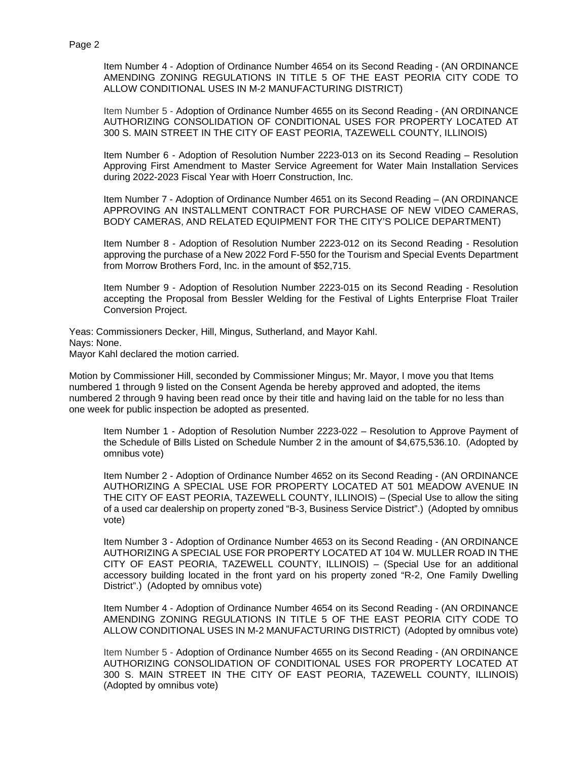Item Number 4 - Adoption of Ordinance Number 4654 on its Second Reading - (AN ORDINANCE AMENDING ZONING REGULATIONS IN TITLE 5 OF THE EAST PEORIA CITY CODE TO ALLOW CONDITIONAL USES IN M-2 MANUFACTURING DISTRICT)

Item Number 5 - Adoption of Ordinance Number 4655 on its Second Reading - (AN ORDINANCE AUTHORIZING CONSOLIDATION OF CONDITIONAL USES FOR PROPERTY LOCATED AT 300 S. MAIN STREET IN THE CITY OF EAST PEORIA, TAZEWELL COUNTY, ILLINOIS)

Item Number 6 - Adoption of Resolution Number 2223-013 on its Second Reading – Resolution Approving First Amendment to Master Service Agreement for Water Main Installation Services during 2022-2023 Fiscal Year with Hoerr Construction, Inc.

Item Number 7 - Adoption of Ordinance Number 4651 on its Second Reading – (AN ORDINANCE APPROVING AN INSTALLMENT CONTRACT FOR PURCHASE OF NEW VIDEO CAMERAS, BODY CAMERAS, AND RELATED EQUIPMENT FOR THE CITY'S POLICE DEPARTMENT)

Item Number 8 - Adoption of Resolution Number 2223-012 on its Second Reading - Resolution approving the purchase of a New 2022 Ford F-550 for the Tourism and Special Events Department from Morrow Brothers Ford, Inc. in the amount of \$52,715.

Item Number 9 - Adoption of Resolution Number 2223-015 on its Second Reading - Resolution accepting the Proposal from Bessler Welding for the Festival of Lights Enterprise Float Trailer Conversion Project.

Yeas: Commissioners Decker, Hill, Mingus, Sutherland, and Mayor Kahl. Nays: None. Mayor Kahl declared the motion carried.

Motion by Commissioner Hill, seconded by Commissioner Mingus; Mr. Mayor, I move you that Items numbered 1 through 9 listed on the Consent Agenda be hereby approved and adopted, the items numbered 2 through 9 having been read once by their title and having laid on the table for no less than one week for public inspection be adopted as presented.

Item Number 1 - Adoption of Resolution Number 2223-022 – Resolution to Approve Payment of the Schedule of Bills Listed on Schedule Number 2 in the amount of \$4,675,536.10. (Adopted by omnibus vote)

Item Number 2 - Adoption of Ordinance Number 4652 on its Second Reading - (AN ORDINANCE AUTHORIZING A SPECIAL USE FOR PROPERTY LOCATED AT 501 MEADOW AVENUE IN THE CITY OF EAST PEORIA, TAZEWELL COUNTY, ILLINOIS) – (Special Use to allow the siting of a used car dealership on property zoned "B-3, Business Service District".) (Adopted by omnibus vote)

Item Number 3 - Adoption of Ordinance Number 4653 on its Second Reading - (AN ORDINANCE AUTHORIZING A SPECIAL USE FOR PROPERTY LOCATED AT 104 W. MULLER ROAD IN THE CITY OF EAST PEORIA, TAZEWELL COUNTY, ILLINOIS) – (Special Use for an additional accessory building located in the front yard on his property zoned "R-2, One Family Dwelling District".) (Adopted by omnibus vote)

Item Number 4 - Adoption of Ordinance Number 4654 on its Second Reading - (AN ORDINANCE AMENDING ZONING REGULATIONS IN TITLE 5 OF THE EAST PEORIA CITY CODE TO ALLOW CONDITIONAL USES IN M-2 MANUFACTURING DISTRICT) (Adopted by omnibus vote)

Item Number 5 - Adoption of Ordinance Number 4655 on its Second Reading - (AN ORDINANCE AUTHORIZING CONSOLIDATION OF CONDITIONAL USES FOR PROPERTY LOCATED AT 300 S. MAIN STREET IN THE CITY OF EAST PEORIA, TAZEWELL COUNTY, ILLINOIS) (Adopted by omnibus vote)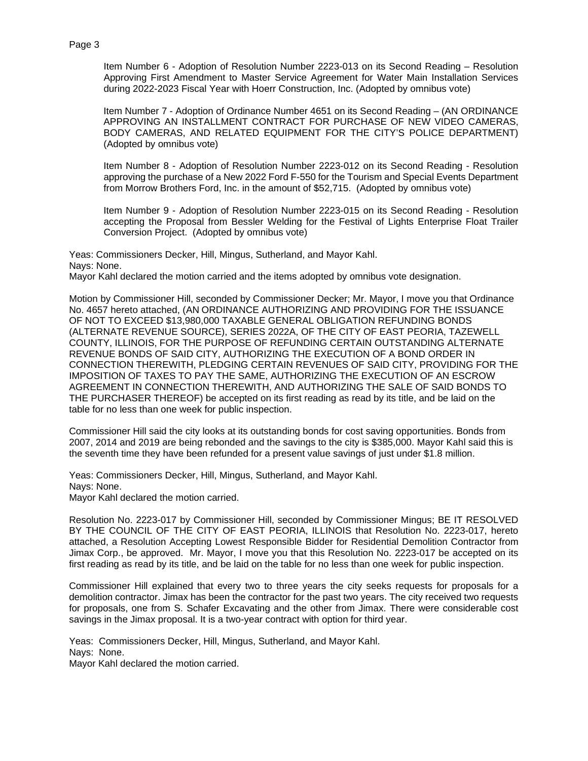Item Number 6 - Adoption of Resolution Number 2223-013 on its Second Reading – Resolution Approving First Amendment to Master Service Agreement for Water Main Installation Services during 2022-2023 Fiscal Year with Hoerr Construction, Inc. (Adopted by omnibus vote)

Item Number 7 - Adoption of Ordinance Number 4651 on its Second Reading – (AN ORDINANCE APPROVING AN INSTALLMENT CONTRACT FOR PURCHASE OF NEW VIDEO CAMERAS, BODY CAMERAS, AND RELATED EQUIPMENT FOR THE CITY'S POLICE DEPARTMENT) (Adopted by omnibus vote)

Item Number 8 - Adoption of Resolution Number 2223-012 on its Second Reading - Resolution approving the purchase of a New 2022 Ford F-550 for the Tourism and Special Events Department from Morrow Brothers Ford, Inc. in the amount of \$52,715. (Adopted by omnibus vote)

Item Number 9 - Adoption of Resolution Number 2223-015 on its Second Reading - Resolution accepting the Proposal from Bessler Welding for the Festival of Lights Enterprise Float Trailer Conversion Project. (Adopted by omnibus vote)

Yeas: Commissioners Decker, Hill, Mingus, Sutherland, and Mayor Kahl. Nays: None.

Mayor Kahl declared the motion carried and the items adopted by omnibus vote designation.

Motion by Commissioner Hill, seconded by Commissioner Decker; Mr. Mayor, I move you that Ordinance No. 4657 hereto attached, (AN ORDINANCE AUTHORIZING AND PROVIDING FOR THE ISSUANCE OF NOT TO EXCEED \$13,980,000 TAXABLE GENERAL OBLIGATION REFUNDING BONDS (ALTERNATE REVENUE SOURCE), SERIES 2022A, OF THE CITY OF EAST PEORIA, TAZEWELL COUNTY, ILLINOIS, FOR THE PURPOSE OF REFUNDING CERTAIN OUTSTANDING ALTERNATE REVENUE BONDS OF SAID CITY, AUTHORIZING THE EXECUTION OF A BOND ORDER IN CONNECTION THEREWITH, PLEDGING CERTAIN REVENUES OF SAID CITY, PROVIDING FOR THE IMPOSITION OF TAXES TO PAY THE SAME, AUTHORIZING THE EXECUTION OF AN ESCROW AGREEMENT IN CONNECTION THEREWITH, AND AUTHORIZING THE SALE OF SAID BONDS TO THE PURCHASER THEREOF) be accepted on its first reading as read by its title, and be laid on the table for no less than one week for public inspection.

Commissioner Hill said the city looks at its outstanding bonds for cost saving opportunities. Bonds from 2007, 2014 and 2019 are being rebonded and the savings to the city is \$385,000. Mayor Kahl said this is the seventh time they have been refunded for a present value savings of just under \$1.8 million.

Yeas: Commissioners Decker, Hill, Mingus, Sutherland, and Mayor Kahl. Nays: None. Mayor Kahl declared the motion carried.

Resolution No. 2223-017 by Commissioner Hill, seconded by Commissioner Mingus; BE IT RESOLVED BY THE COUNCIL OF THE CITY OF EAST PEORIA, ILLINOIS that Resolution No. 2223-017, hereto attached, a Resolution Accepting Lowest Responsible Bidder for Residential Demolition Contractor from Jimax Corp., be approved. Mr. Mayor, I move you that this Resolution No. 2223-017 be accepted on its first reading as read by its title, and be laid on the table for no less than one week for public inspection.

Commissioner Hill explained that every two to three years the city seeks requests for proposals for a demolition contractor. Jimax has been the contractor for the past two years. The city received two requests for proposals, one from S. Schafer Excavating and the other from Jimax. There were considerable cost savings in the Jimax proposal. It is a two-year contract with option for third year.

Yeas: Commissioners Decker, Hill, Mingus, Sutherland, and Mayor Kahl. Nays: None. Mayor Kahl declared the motion carried.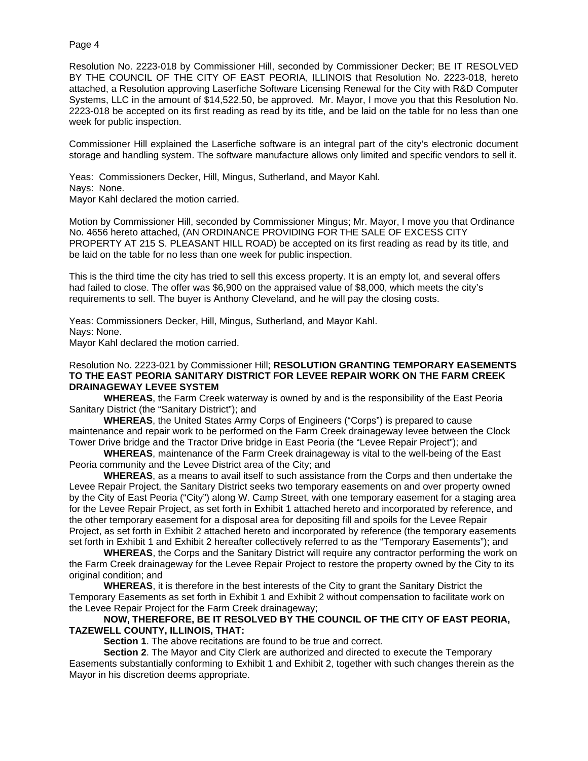Resolution No. 2223-018 by Commissioner Hill, seconded by Commissioner Decker; BE IT RESOLVED BY THE COUNCIL OF THE CITY OF EAST PEORIA, ILLINOIS that Resolution No. 2223-018, hereto attached, a Resolution approving Laserfiche Software Licensing Renewal for the City with R&D Computer Systems, LLC in the amount of \$14,522.50, be approved. Mr. Mayor, I move you that this Resolution No. 2223-018 be accepted on its first reading as read by its title, and be laid on the table for no less than one week for public inspection.

Commissioner Hill explained the Laserfiche software is an integral part of the city's electronic document storage and handling system. The software manufacture allows only limited and specific vendors to sell it.

Yeas: Commissioners Decker, Hill, Mingus, Sutherland, and Mayor Kahl. Nays: None. Mayor Kahl declared the motion carried.

Motion by Commissioner Hill, seconded by Commissioner Mingus; Mr. Mayor, I move you that Ordinance No. 4656 hereto attached, (AN ORDINANCE PROVIDING FOR THE SALE OF EXCESS CITY PROPERTY AT 215 S. PLEASANT HILL ROAD) be accepted on its first reading as read by its title, and be laid on the table for no less than one week for public inspection.

This is the third time the city has tried to sell this excess property. It is an empty lot, and several offers had failed to close. The offer was \$6,900 on the appraised value of \$8,000, which meets the city's requirements to sell. The buyer is Anthony Cleveland, and he will pay the closing costs.

Yeas: Commissioners Decker, Hill, Mingus, Sutherland, and Mayor Kahl. Nays: None. Mayor Kahl declared the motion carried.

## Resolution No. 2223-021 by Commissioner Hill; **RESOLUTION GRANTING TEMPORARY EASEMENTS TO THE EAST PEORIA SANITARY DISTRICT FOR LEVEE REPAIR WORK ON THE FARM CREEK DRAINAGEWAY LEVEE SYSTEM**

**WHEREAS**, the Farm Creek waterway is owned by and is the responsibility of the East Peoria Sanitary District (the "Sanitary District"); and

**WHEREAS**, the United States Army Corps of Engineers ("Corps") is prepared to cause maintenance and repair work to be performed on the Farm Creek drainageway levee between the Clock Tower Drive bridge and the Tractor Drive bridge in East Peoria (the "Levee Repair Project"); and

**WHEREAS**, maintenance of the Farm Creek drainageway is vital to the well-being of the East Peoria community and the Levee District area of the City; and

**WHEREAS**, as a means to avail itself to such assistance from the Corps and then undertake the Levee Repair Project, the Sanitary District seeks two temporary easements on and over property owned by the City of East Peoria ("City") along W. Camp Street, with one temporary easement for a staging area for the Levee Repair Project, as set forth in Exhibit 1 attached hereto and incorporated by reference, and the other temporary easement for a disposal area for depositing fill and spoils for the Levee Repair Project, as set forth in Exhibit 2 attached hereto and incorporated by reference (the temporary easements set forth in Exhibit 1 and Exhibit 2 hereafter collectively referred to as the "Temporary Easements"); and

**WHEREAS**, the Corps and the Sanitary District will require any contractor performing the work on the Farm Creek drainageway for the Levee Repair Project to restore the property owned by the City to its original condition; and

**WHEREAS**, it is therefore in the best interests of the City to grant the Sanitary District the Temporary Easements as set forth in Exhibit 1 and Exhibit 2 without compensation to facilitate work on the Levee Repair Project for the Farm Creek drainageway;

## **NOW, THEREFORE, BE IT RESOLVED BY THE COUNCIL OF THE CITY OF EAST PEORIA, TAZEWELL COUNTY, ILLINOIS, THAT:**

**Section 1**. The above recitations are found to be true and correct.

**Section 2**. The Mayor and City Clerk are authorized and directed to execute the Temporary Easements substantially conforming to Exhibit 1 and Exhibit 2, together with such changes therein as the Mayor in his discretion deems appropriate.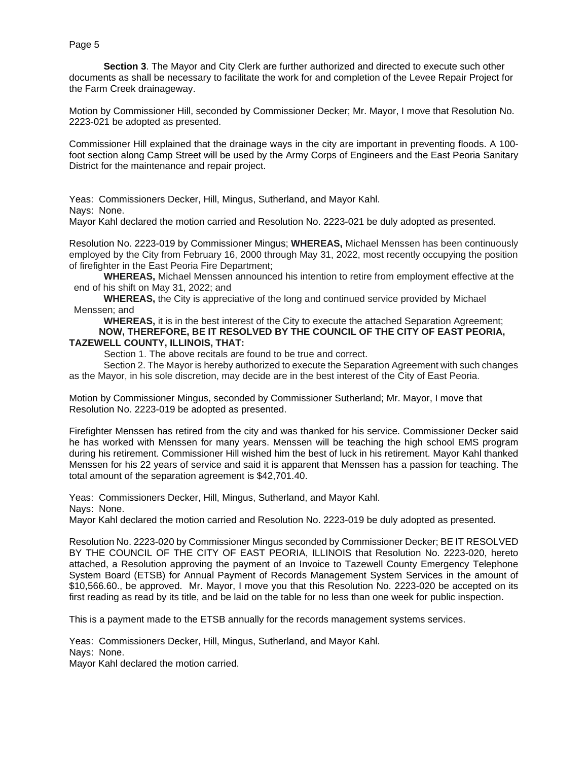**Section 3**. The Mayor and City Clerk are further authorized and directed to execute such other documents as shall be necessary to facilitate the work for and completion of the Levee Repair Project for the Farm Creek drainageway.

Motion by Commissioner Hill, seconded by Commissioner Decker; Mr. Mayor, I move that Resolution No. 2223-021 be adopted as presented.

Commissioner Hill explained that the drainage ways in the city are important in preventing floods. A 100 foot section along Camp Street will be used by the Army Corps of Engineers and the East Peoria Sanitary District for the maintenance and repair project.

Yeas: Commissioners Decker, Hill, Mingus, Sutherland, and Mayor Kahl.

Nays: None.

Mayor Kahl declared the motion carried and Resolution No. 2223-021 be duly adopted as presented.

Resolution No. 2223-019 by Commissioner Mingus; **WHEREAS,** Michael Menssen has been continuously employed by the City from February 16, 2000 through May 31, 2022, most recently occupying the position of firefighter in the East Peoria Fire Department;

**WHEREAS,** Michael Menssen announced his intention to retire from employment effective at the end of his shift on May 31, 2022; and

**WHEREAS,** the City is appreciative of the long and continued service provided by Michael Menssen; and

**WHEREAS,** it is in the best interest of the City to execute the attached Separation Agreement; **NOW, THEREFORE, BE IT RESOLVED BY THE COUNCIL OF THE CITY OF EAST PEORIA, TAZEWELL COUNTY, ILLINOIS, THAT:** 

Section 1. The above recitals are found to be true and correct.

Section 2. The Mayor is hereby authorized to execute the Separation Agreement with such changes as the Mayor, in his sole discretion, may decide are in the best interest of the City of East Peoria.

Motion by Commissioner Mingus, seconded by Commissioner Sutherland; Mr. Mayor, I move that Resolution No. 2223-019 be adopted as presented.

Firefighter Menssen has retired from the city and was thanked for his service. Commissioner Decker said he has worked with Menssen for many years. Menssen will be teaching the high school EMS program during his retirement. Commissioner Hill wished him the best of luck in his retirement. Mayor Kahl thanked Menssen for his 22 years of service and said it is apparent that Menssen has a passion for teaching. The total amount of the separation agreement is \$42,701.40.

Yeas: Commissioners Decker, Hill, Mingus, Sutherland, and Mayor Kahl. Nays: None.

Mayor Kahl declared the motion carried and Resolution No. 2223-019 be duly adopted as presented.

Resolution No. 2223-020 by Commissioner Mingus seconded by Commissioner Decker; BE IT RESOLVED BY THE COUNCIL OF THE CITY OF EAST PEORIA, ILLINOIS that Resolution No. 2223-020, hereto attached, a Resolution approving the payment of an Invoice to Tazewell County Emergency Telephone System Board (ETSB) for Annual Payment of Records Management System Services in the amount of \$10,566.60., be approved. Mr. Mayor, I move you that this Resolution No. 2223-020 be accepted on its first reading as read by its title, and be laid on the table for no less than one week for public inspection.

This is a payment made to the ETSB annually for the records management systems services.

Yeas: Commissioners Decker, Hill, Mingus, Sutherland, and Mayor Kahl. Nays: None.

Mayor Kahl declared the motion carried.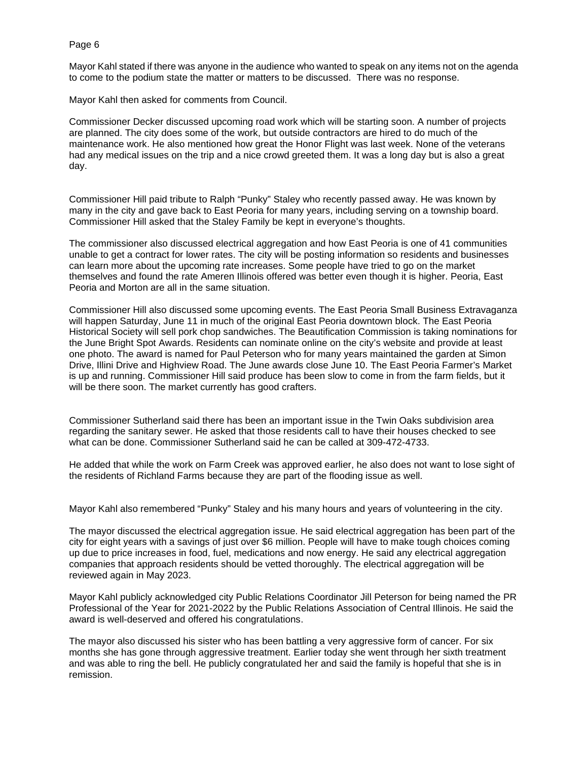Mayor Kahl stated if there was anyone in the audience who wanted to speak on any items not on the agenda to come to the podium state the matter or matters to be discussed. There was no response.

Mayor Kahl then asked for comments from Council.

Commissioner Decker discussed upcoming road work which will be starting soon. A number of projects are planned. The city does some of the work, but outside contractors are hired to do much of the maintenance work. He also mentioned how great the Honor Flight was last week. None of the veterans had any medical issues on the trip and a nice crowd greeted them. It was a long day but is also a great day.

Commissioner Hill paid tribute to Ralph "Punky" Staley who recently passed away. He was known by many in the city and gave back to East Peoria for many years, including serving on a township board. Commissioner Hill asked that the Staley Family be kept in everyone's thoughts.

The commissioner also discussed electrical aggregation and how East Peoria is one of 41 communities unable to get a contract for lower rates. The city will be posting information so residents and businesses can learn more about the upcoming rate increases. Some people have tried to go on the market themselves and found the rate Ameren Illinois offered was better even though it is higher. Peoria, East Peoria and Morton are all in the same situation.

Commissioner Hill also discussed some upcoming events. The East Peoria Small Business Extravaganza will happen Saturday, June 11 in much of the original East Peoria downtown block. The East Peoria Historical Society will sell pork chop sandwiches. The Beautification Commission is taking nominations for the June Bright Spot Awards. Residents can nominate online on the city's website and provide at least one photo. The award is named for Paul Peterson who for many years maintained the garden at Simon Drive, Illini Drive and Highview Road. The June awards close June 10. The East Peoria Farmer's Market is up and running. Commissioner Hill said produce has been slow to come in from the farm fields, but it will be there soon. The market currently has good crafters.

Commissioner Sutherland said there has been an important issue in the Twin Oaks subdivision area regarding the sanitary sewer. He asked that those residents call to have their houses checked to see what can be done. Commissioner Sutherland said he can be called at 309-472-4733.

He added that while the work on Farm Creek was approved earlier, he also does not want to lose sight of the residents of Richland Farms because they are part of the flooding issue as well.

Mayor Kahl also remembered "Punky" Staley and his many hours and years of volunteering in the city.

The mayor discussed the electrical aggregation issue. He said electrical aggregation has been part of the city for eight years with a savings of just over \$6 million. People will have to make tough choices coming up due to price increases in food, fuel, medications and now energy. He said any electrical aggregation companies that approach residents should be vetted thoroughly. The electrical aggregation will be reviewed again in May 2023.

Mayor Kahl publicly acknowledged city Public Relations Coordinator Jill Peterson for being named the PR Professional of the Year for 2021-2022 by the Public Relations Association of Central Illinois. He said the award is well-deserved and offered his congratulations.

The mayor also discussed his sister who has been battling a very aggressive form of cancer. For six months she has gone through aggressive treatment. Earlier today she went through her sixth treatment and was able to ring the bell. He publicly congratulated her and said the family is hopeful that she is in remission.